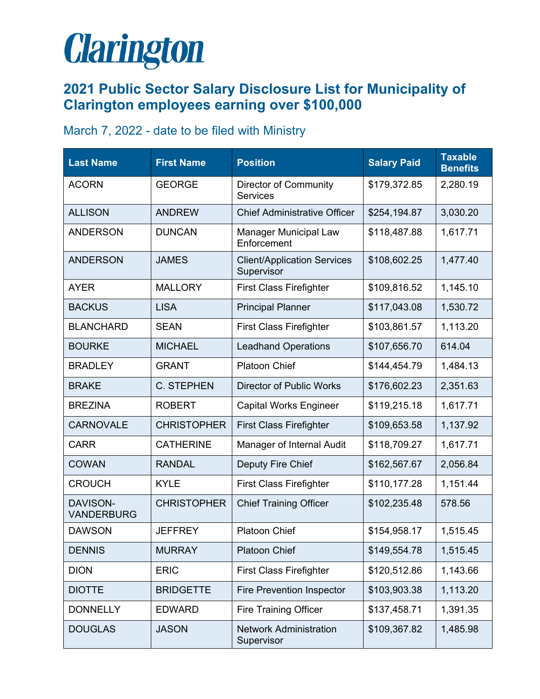## **Clarington**

## **2021 Public Sector Salary Disclosure List for Municipality of Clarington employees earning over \$100,000**

## March 7, 2022 - date to be filed with Ministry

| <b>Last Name</b>              | <b>First Name</b>  | <b>Position</b>                                  | <b>Salary Paid</b> | <b>Taxable</b><br><b>Benefits</b> |
|-------------------------------|--------------------|--------------------------------------------------|--------------------|-----------------------------------|
| <b>ACORN</b>                  | <b>GEORGE</b>      | <b>Director of Community</b><br><b>Services</b>  | \$179,372.85       | 2,280.19                          |
| <b>ALLISON</b>                | <b>ANDREW</b>      | <b>Chief Administrative Officer</b>              | \$254,194.87       | 3,030.20                          |
| <b>ANDERSON</b>               | <b>DUNCAN</b>      | <b>Manager Municipal Law</b><br>Enforcement      | \$118,487.88       | 1,617.71                          |
| <b>ANDERSON</b>               | <b>JAMES</b>       | <b>Client/Application Services</b><br>Supervisor | \$108,602.25       | 1,477.40                          |
| <b>AYER</b>                   | <b>MALLORY</b>     | <b>First Class Firefighter</b>                   | \$109,816.52       | 1,145.10                          |
| <b>BACKUS</b>                 | <b>LISA</b>        | <b>Principal Planner</b>                         | \$117,043.08       | 1,530.72                          |
| <b>BLANCHARD</b>              | <b>SEAN</b>        | <b>First Class Firefighter</b>                   | \$103,861.57       | 1,113.20                          |
| <b>BOURKE</b>                 | <b>MICHAEL</b>     | <b>Leadhand Operations</b>                       | \$107,656.70       | 614.04                            |
| <b>BRADLEY</b>                | <b>GRANT</b>       | <b>Platoon Chief</b>                             | \$144,454.79       | 1,484.13                          |
| <b>BRAKE</b>                  | <b>C. STEPHEN</b>  | <b>Director of Public Works</b>                  | \$176,602.23       | 2,351.63                          |
| <b>BREZINA</b>                | <b>ROBERT</b>      | <b>Capital Works Engineer</b>                    | \$119,215.18       | 1,617.71                          |
| <b>CARNOVALE</b>              | <b>CHRISTOPHER</b> | <b>First Class Firefighter</b>                   | \$109,653.58       | 1,137.92                          |
| <b>CARR</b>                   | <b>CATHERINE</b>   | Manager of Internal Audit                        | \$118,709.27       | 1,617.71                          |
| <b>COWAN</b>                  | <b>RANDAL</b>      | Deputy Fire Chief                                | \$162,567.67       | 2,056.84                          |
| <b>CROUCH</b>                 | <b>KYLE</b>        | <b>First Class Firefighter</b>                   | \$110,177.28       | 1,151.44                          |
| DAVISON-<br><b>VANDERBURG</b> | <b>CHRISTOPHER</b> | <b>Chief Training Officer</b>                    | \$102,235.48       | 578.56                            |
| <b>DAWSON</b>                 | <b>JEFFREY</b>     | <b>Platoon Chief</b>                             | \$154,958.17       | 1,515.45                          |
| <b>DENNIS</b>                 | <b>MURRAY</b>      | <b>Platoon Chief</b>                             | \$149,554.78       | 1,515.45                          |
| <b>DION</b>                   | <b>ERIC</b>        | <b>First Class Firefighter</b>                   | \$120,512.86       | 1,143.66                          |
| <b>DIOTTE</b>                 | <b>BRIDGETTE</b>   | <b>Fire Prevention Inspector</b>                 | \$103,903.38       | 1,113.20                          |
| <b>DONNELLY</b>               | <b>EDWARD</b>      | <b>Fire Training Officer</b>                     | \$137,458.71       | 1,391.35                          |
| <b>DOUGLAS</b>                | <b>JASON</b>       | <b>Network Administration</b><br>Supervisor      | \$109,367.82       | 1,485.98                          |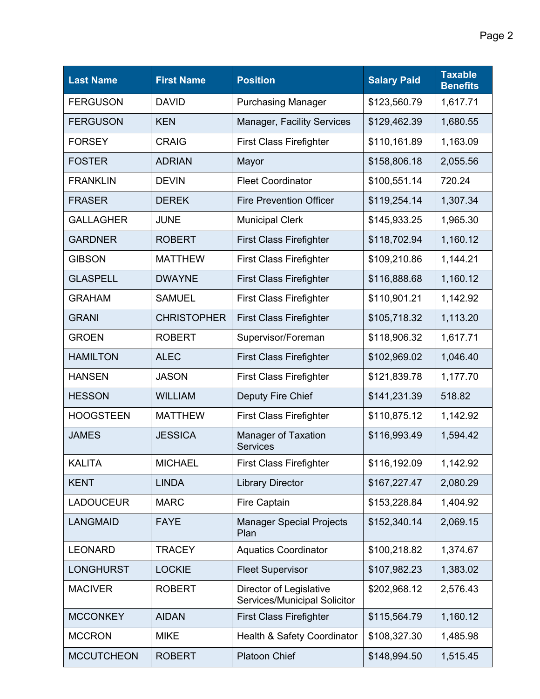| <b>Last Name</b>  | <b>First Name</b>  | <b>Position</b>                                         | <b>Salary Paid</b> | <b>Taxable</b><br><b>Benefits</b> |
|-------------------|--------------------|---------------------------------------------------------|--------------------|-----------------------------------|
| <b>FERGUSON</b>   | <b>DAVID</b>       | <b>Purchasing Manager</b>                               | \$123,560.79       | 1,617.71                          |
| <b>FERGUSON</b>   | <b>KEN</b>         | Manager, Facility Services                              | \$129,462.39       | 1,680.55                          |
| <b>FORSEY</b>     | <b>CRAIG</b>       | <b>First Class Firefighter</b>                          | \$110,161.89       | 1,163.09                          |
| <b>FOSTER</b>     | <b>ADRIAN</b>      | Mayor                                                   | \$158,806.18       | 2,055.56                          |
| <b>FRANKLIN</b>   | <b>DEVIN</b>       | <b>Fleet Coordinator</b>                                | \$100,551.14       | 720.24                            |
| <b>FRASER</b>     | <b>DEREK</b>       | <b>Fire Prevention Officer</b>                          | \$119,254.14       | 1,307.34                          |
| <b>GALLAGHER</b>  | <b>JUNE</b>        | <b>Municipal Clerk</b>                                  | \$145,933.25       | 1,965.30                          |
| <b>GARDNER</b>    | <b>ROBERT</b>      | <b>First Class Firefighter</b>                          | \$118,702.94       | 1,160.12                          |
| <b>GIBSON</b>     | <b>MATTHEW</b>     | <b>First Class Firefighter</b>                          | \$109,210.86       | 1,144.21                          |
| <b>GLASPELL</b>   | <b>DWAYNE</b>      | <b>First Class Firefighter</b>                          | \$116,888.68       | 1,160.12                          |
| <b>GRAHAM</b>     | <b>SAMUEL</b>      | <b>First Class Firefighter</b>                          | \$110,901.21       | 1,142.92                          |
| <b>GRANI</b>      | <b>CHRISTOPHER</b> | <b>First Class Firefighter</b>                          | \$105,718.32       | 1,113.20                          |
| <b>GROEN</b>      | <b>ROBERT</b>      | Supervisor/Foreman                                      | \$118,906.32       | 1,617.71                          |
| <b>HAMILTON</b>   | <b>ALEC</b>        | <b>First Class Firefighter</b>                          | \$102,969.02       | 1,046.40                          |
| <b>HANSEN</b>     | <b>JASON</b>       | <b>First Class Firefighter</b>                          | \$121,839.78       | 1,177.70                          |
| <b>HESSON</b>     | <b>WILLIAM</b>     | Deputy Fire Chief                                       | \$141,231.39       | 518.82                            |
| <b>HOOGSTEEN</b>  | <b>MATTHEW</b>     | <b>First Class Firefighter</b>                          | \$110,875.12       | 1,142.92                          |
| <b>JAMES</b>      | <b>JESSICA</b>     | <b>Manager of Taxation</b><br><b>Services</b>           | \$116,993.49       | 1,594.42                          |
| <b>KALITA</b>     | <b>MICHAEL</b>     | <b>First Class Firefighter</b>                          | \$116,192.09       | 1,142.92                          |
| <b>KENT</b>       | <b>LINDA</b>       | <b>Library Director</b>                                 | \$167,227.47       | 2,080.29                          |
| <b>LADOUCEUR</b>  | <b>MARC</b>        | <b>Fire Captain</b>                                     | \$153,228.84       | 1,404.92                          |
| <b>LANGMAID</b>   | <b>FAYE</b>        | <b>Manager Special Projects</b><br>Plan                 | \$152,340.14       | 2,069.15                          |
| <b>LEONARD</b>    | <b>TRACEY</b>      | <b>Aquatics Coordinator</b>                             | \$100,218.82       | 1,374.67                          |
| <b>LONGHURST</b>  | <b>LOCKIE</b>      | <b>Fleet Supervisor</b>                                 | \$107,982.23       | 1,383.02                          |
| <b>MACIVER</b>    | <b>ROBERT</b>      | Director of Legislative<br>Services/Municipal Solicitor | \$202,968.12       | 2,576.43                          |
| <b>MCCONKEY</b>   | <b>AIDAN</b>       | <b>First Class Firefighter</b>                          | \$115,564.79       | 1,160.12                          |
| <b>MCCRON</b>     | <b>MIKE</b>        | Health & Safety Coordinator                             | \$108,327.30       | 1,485.98                          |
| <b>MCCUTCHEON</b> | <b>ROBERT</b>      | <b>Platoon Chief</b>                                    | \$148,994.50       | 1,515.45                          |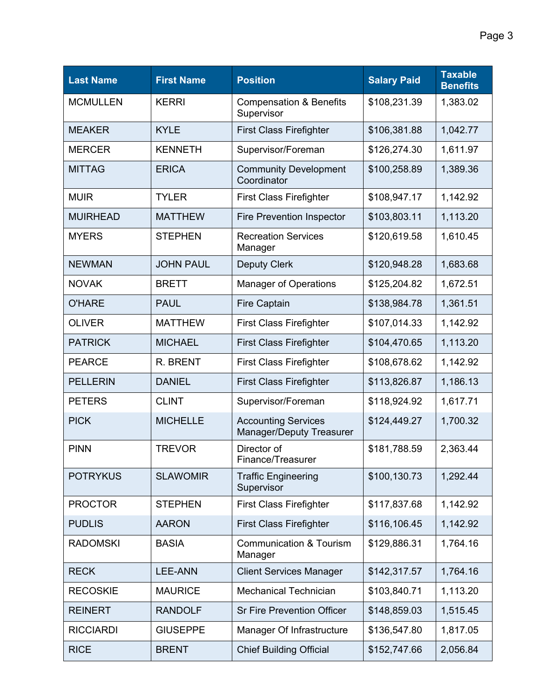| <b>Last Name</b> | <b>First Name</b> | <b>Position</b>                                               | <b>Salary Paid</b> | <b>Taxable</b><br><b>Benefits</b> |
|------------------|-------------------|---------------------------------------------------------------|--------------------|-----------------------------------|
| <b>MCMULLEN</b>  | <b>KERRI</b>      | <b>Compensation &amp; Benefits</b><br>Supervisor              | \$108,231.39       | 1,383.02                          |
| <b>MEAKER</b>    | <b>KYLE</b>       | <b>First Class Firefighter</b>                                | \$106,381.88       | 1,042.77                          |
| <b>MERCER</b>    | <b>KENNETH</b>    | Supervisor/Foreman                                            | \$126,274.30       | 1,611.97                          |
| <b>MITTAG</b>    | <b>ERICA</b>      | <b>Community Development</b><br>Coordinator                   | \$100,258.89       | 1,389.36                          |
| <b>MUIR</b>      | <b>TYLER</b>      | <b>First Class Firefighter</b>                                | \$108,947.17       | 1,142.92                          |
| <b>MUIRHEAD</b>  | <b>MATTHEW</b>    | <b>Fire Prevention Inspector</b>                              | \$103,803.11       | 1,113.20                          |
| <b>MYERS</b>     | <b>STEPHEN</b>    | <b>Recreation Services</b><br>Manager                         | \$120,619.58       | 1,610.45                          |
| <b>NEWMAN</b>    | <b>JOHN PAUL</b>  | <b>Deputy Clerk</b>                                           | \$120,948.28       | 1,683.68                          |
| <b>NOVAK</b>     | <b>BRETT</b>      | <b>Manager of Operations</b>                                  | \$125,204.82       | 1,672.51                          |
| <b>O'HARE</b>    | <b>PAUL</b>       | <b>Fire Captain</b>                                           | \$138,984.78       | 1,361.51                          |
| <b>OLIVER</b>    | <b>MATTHEW</b>    | <b>First Class Firefighter</b>                                | \$107,014.33       | 1,142.92                          |
| <b>PATRICK</b>   | <b>MICHAEL</b>    | <b>First Class Firefighter</b>                                | \$104,470.65       | 1,113.20                          |
| <b>PEARCE</b>    | R. BRENT          | <b>First Class Firefighter</b>                                | \$108,678.62       | 1,142.92                          |
| <b>PELLERIN</b>  | <b>DANIEL</b>     | <b>First Class Firefighter</b>                                | \$113,826.87       | 1,186.13                          |
| <b>PETERS</b>    | <b>CLINT</b>      | Supervisor/Foreman                                            | \$118,924.92       | 1,617.71                          |
| <b>PICK</b>      | <b>MICHELLE</b>   | <b>Accounting Services</b><br><b>Manager/Deputy Treasurer</b> | \$124,449.27       | 1,700.32                          |
| <b>PINN</b>      | <b>TREVOR</b>     | Director of<br>Finance/Treasurer                              | \$181,788.59       | 2,363.44                          |
| <b>POTRYKUS</b>  | <b>SLAWOMIR</b>   | <b>Traffic Engineering</b><br>Supervisor                      | \$100,130.73       | 1,292.44                          |
| <b>PROCTOR</b>   | <b>STEPHEN</b>    | <b>First Class Firefighter</b>                                | \$117,837.68       | 1,142.92                          |
| <b>PUDLIS</b>    | <b>AARON</b>      | <b>First Class Firefighter</b>                                | \$116,106.45       | 1,142.92                          |
| <b>RADOMSKI</b>  | <b>BASIA</b>      | <b>Communication &amp; Tourism</b><br>Manager                 | \$129,886.31       | 1,764.16                          |
| <b>RECK</b>      | <b>LEE-ANN</b>    | <b>Client Services Manager</b>                                | \$142,317.57       | 1,764.16                          |
| <b>RECOSKIE</b>  | <b>MAURICE</b>    | <b>Mechanical Technician</b>                                  | \$103,840.71       | 1,113.20                          |
| <b>REINERT</b>   | <b>RANDOLF</b>    | <b>Sr Fire Prevention Officer</b>                             | \$148,859.03       | 1,515.45                          |
| <b>RICCIARDI</b> | <b>GIUSEPPE</b>   | Manager Of Infrastructure                                     | \$136,547.80       | 1,817.05                          |
| <b>RICE</b>      | <b>BRENT</b>      | <b>Chief Building Official</b>                                | \$152,747.66       | 2,056.84                          |